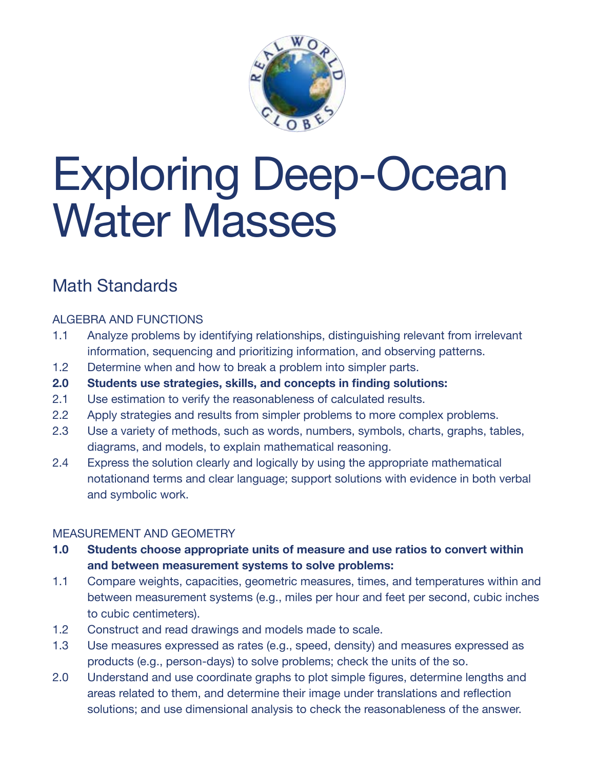

# Exploring Deep-Ocean Water Masses

## Math Standards

#### ALGEBRA AND FUNCTIONS

- 1.1 Analyze problems by identifying relationships, distinguishing relevant from irrelevant information, sequencing and prioritizing information, and observing patterns.
- 1.2 Determine when and how to break a problem into simpler parts.
- **2.0 Students use strategies, skills, and concepts in finding solutions:**
- 2.1 Use estimation to verify the reasonableness of calculated results.
- 2.2 Apply strategies and results from simpler problems to more complex problems.
- 2.3 Use a variety of methods, such as words, numbers, symbols, charts, graphs, tables, diagrams, and models, to explain mathematical reasoning.
- 2.4 Express the solution clearly and logically by using the appropriate mathematical notationand terms and clear language; support solutions with evidence in both verbal and symbolic work.

#### MEASUREMENT AND GEOMETRY

- **1.0 Students choose appropriate units of measure and use ratios to convert within and between measurement systems to solve problems:**
- 1.1 Compare weights, capacities, geometric measures, times, and temperatures within and between measurement systems (e.g., miles per hour and feet per second, cubic inches to cubic centimeters).
- 1.2 Construct and read drawings and models made to scale.
- 1.3 Use measures expressed as rates (e.g., speed, density) and measures expressed as products (e.g., person-days) to solve problems; check the units of the so.
- 2.0 Understand and use coordinate graphs to plot simple figures, determine lengths and areas related to them, and determine their image under translations and reflection solutions; and use dimensional analysis to check the reasonableness of the answer.